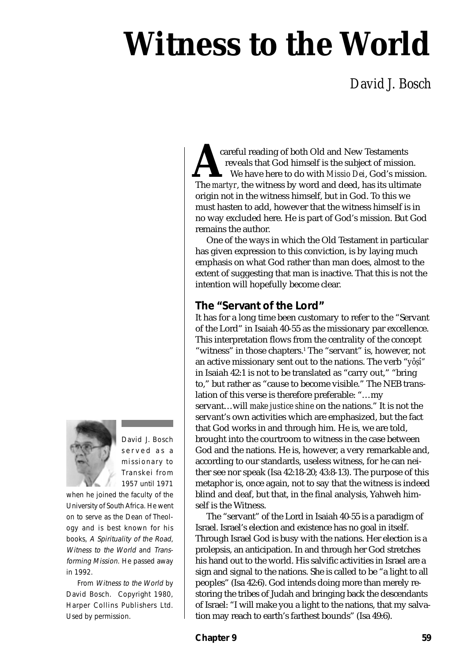# **Witness to the World**

*David J. Bosch*

careful reading of both Old and New Testaments reveals that God himself is the subject of mission. We have here to do with *Missio Dei*, God's mission. The *martyr*, the witness by word and deed, has its ultimate **A**origin not in the witness himself, but in God. To this we must hasten to add, however that the witness himself is in no way excluded here. He is part of God's mission. But God remains the author.

One of the ways in which the Old Testament in particular has given expression to this conviction, is by laying much emphasis on what God rather than man does, almost to the extent of suggesting that man is inactive. That this is not the intention will hopefully become clear.

### **The "Servant of the Lord"**

It has for a long time been customary to refer to the "Servant of the Lord" in Isaiah 40-55 as the missionary par excellence. This interpretation flows from the centrality of the concept "witness" in those chapters.1 The "servant" is, however, not an active missionary sent out to the nations. The verb "*yôsî*" in Isaiah 42:1 is not to be translated as "carry out," "bring to," but rather as "cause to become visible." The NEB translation of this verse is therefore preferable: "…my servant…will *make justice shine* on the nations." It is not the servant's own activities which are emphasized, but the fact that God works in and through him. He is, we are told, brought into the courtroom to witness in the case between God and the nations. He is, however, a very remarkable and, according to our standards, useless witness, for he can neither see nor speak (Isa 42:18-20; 43:8-13). The purpose of this metaphor is, once again, not to say that the witness is indeed blind and deaf, but that, in the final analysis, Yahweh himself is the Witness.

The "servant" of the Lord in Isaiah 40-55 is a paradigm of Israel. Israel's election and existence has no goal in itself. Through Israel God is busy with the nations. Her election is a prolepsis, an anticipation. In and through her God stretches his hand out to the world. His salvific activities in Israel are a sign and signal to the nations. She is called to be "a light to all peoples" (Isa 42:6). God intends doing more than merely restoring the tribes of Judah and bringing back the descendants of Israel: "I will make you a light to the nations, that my salvation may reach to earth's farthest bounds" (Isa 49:6).



David J. Bosch served as a missionary to Transkei from 1957 until 1971

when he joined the faculty of the University of South Africa. He went on to serve as the Dean of Theology and is best known for his books, A Spirituality of the Road, Witness to the World and Transforming Mission. He passed away in 1992.

From Witness to the World by David Bosch. Copyright 1980, Harper Collins Publishers Ltd. Used by permission.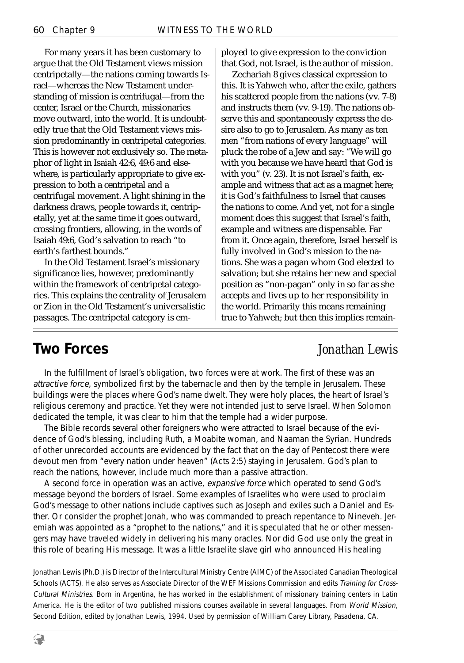For many years it has been customary to argue that the Old Testament views mission centripetally—the nations coming towards Israel—whereas the New Testament understanding of mission is centrifugal—from the center, Israel or the Church, missionaries move outward, into the world. It is undoubtedly true that the Old Testament views mission predominantly in centripetal categories. This is however not exclusively so. The metaphor of light in Isaiah 42:6, 49:6 and elsewhere, is particularly appropriate to give expression to both a centripetal and a centrifugal movement. A light shining in the darkness draws, people towards it, centripetally, yet at the same time it goes outward, crossing frontiers, allowing, in the words of Isaiah 49:6, God's salvation to reach "to earth's farthest bounds."

In the Old Testament Israel's missionary significance lies, however, predominantly within the framework of centripetal categories. This explains the centrality of Jerusalem or Zion in the Old Testament's universalistic passages. The centripetal category is employed to give expression to the conviction that God, not Israel, is the author of mission.

Zechariah 8 gives classical expression to this. It is Yahweh who, after the exile, gathers his scattered people from the nations (vv. 7-8) and instructs them (vv. 9-19). The nations observe this and spontaneously express the desire also to go to Jerusalem. As many as ten men "from nations of every language" will pluck the robe of a Jew and say: "We will go with you because we have heard that God is with you" (v. 23). It is not Israel's faith, example and witness that act as a magnet here; it is God's faithfulness to Israel that causes the nations to come. And yet, not for a single moment does this suggest that Israel's faith, example and witness are dispensable. Far from it. Once again, therefore, Israel herself is fully involved in God's mission to the nations. She was a pagan whom God elected to salvation; but she retains her new and special position as "non-pagan" only in so far as she accepts and lives up to her responsibility in the world. Primarily this means remaining true to Yahweh; but then this implies remain-

## **Two Forces** *Jonathan Lewis*

In the fulfillment of Israel's obligation, two forces were at work. The first of these was an attractive force, symbolized first by the tabernacle and then by the temple in Jerusalem. These buildings were the places where God's name dwelt. They were holy places, the heart of Israel's religious ceremony and practice. Yet they were not intended just to serve Israel. When Solomon dedicated the temple, it was clear to him that the temple had a wider purpose.

The Bible records several other foreigners who were attracted to Israel because of the evidence of God's blessing, including Ruth, a Moabite woman, and Naaman the Syrian. Hundreds of other unrecorded accounts are evidenced by the fact that on the day of Pentecost there were devout men from "every nation under heaven" (Acts 2:5) staying in Jerusalem. God's plan to reach the nations, however, include much more than a passive attraction.

A second force in operation was an active, expansive force which operated to send God's message beyond the borders of Israel. Some examples of Israelites who were used to proclaim God's message to other nations include captives such as Joseph and exiles such a Daniel and Esther. Or consider the prophet Jonah, who was commanded to preach repentance to Nineveh. Jeremiah was appointed as a "prophet to the nations," and it is speculated that he or other messengers may have traveled widely in delivering his many oracles. Nor did God use only the great in this role of bearing His message. It was a little Israelite slave girl who announced His healing

Jonathan Lewis (Ph.D.) is Director of the Intercultural Ministry Centre (AIMC) of the Associated Canadian Theological Schools (ACTS). He also serves as Associate Director of the WEF Missions Commission and edits Training for Cross-Cultural Ministries. Born in Argentina, he has worked in the establishment of missionary training centers in Latin America. He is the editor of two published missions courses available in several languages. From World Mission, Second Edition, edited by Jonathan Lewis, 1994. Used by permission of William Carey Library, Pasadena, CA.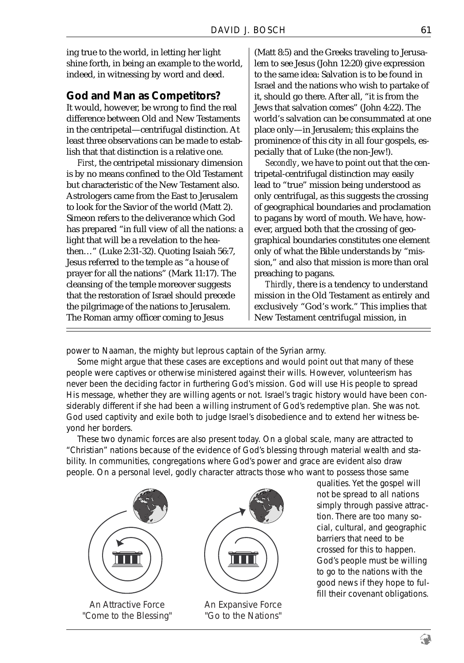ing true to the world, in letting her light shine forth, in being an example to the world, indeed, in witnessing by word and deed.

#### **God and Man as Competitors?**

It would, however, be wrong to find the real difference between Old and New Testaments in the centripetal—centrifugal distinction. At least three observations can be made to establish that that distinction is a relative one.

*First*, the centripetal missionary dimension is by no means confined to the Old Testament but characteristic of the New Testament also. Astrologers came from the East to Jerusalem to look for the Savior of the world (Matt 2). Simeon refers to the deliverance which God has prepared "in full view of all the nations: a light that will be a revelation to the heathen…" (Luke 2:31-32). Quoting Isaiah 56:7, Jesus referred to the temple as "a house of prayer for all the nations" (Mark 11:17). The cleansing of the temple moreover suggests that the restoration of Israel should precede the pilgrimage of the nations to Jerusalem. The Roman army officer coming to Jesus

(Matt 8:5) and the Greeks traveling to Jerusalem to see Jesus (John 12:20) give expression to the same idea: Salvation is to be found in Israel and the nations who wish to partake of it, should go there. After all, "it is from the Jews that salvation comes" (John 4:22). The world's salvation can be consummated at one place only—in Jerusalem; this explains the prominence of this city in all four gospels, especially that of Luke (the non-Jew!).

*Secondly*, we have to point out that the centripetal-centrifugal distinction may easily lead to "true" mission being understood as only centrifugal, as this suggests the crossing of geographical boundaries and proclamation to pagans by word of mouth. We have, however, argued both that the crossing of geographical boundaries constitutes one element only of what the Bible understands by "mission," and also that mission is more than oral preaching to pagans.

*Thirdly*, there is a tendency to understand mission in the Old Testament as entirely and exclusively "God's work." This implies that New Testament centrifugal mission, in

power to Naaman, the mighty but leprous captain of the Syrian army.

Some might argue that these cases are exceptions and would point out that many of these people were captives or otherwise ministered against their wills. However, volunteerism has never been the deciding factor in furthering God's mission. God will use His people to spread His message, whether they are willing agents or not. Israel's tragic history would have been considerably different if she had been a willing instrument of God's redemptive plan. She was not. God used captivity and exile both to judge Israel's disobedience and to extend her witness beyond her borders.

These two dynamic forces are also present today. On a global scale, many are attracted to "Christian" nations because of the evidence of God's blessing through material wealth and stability. In communities, congregations where God's power and grace are evident also draw people. On a personal level, godly character attracts those who want to possess those same



An Attractive Force "Come to the Blessing"



An Expansive Force "Go to the Nations"

qualities. Yet the gospel will not be spread to all nations simply through passive attraction. There are too many social, cultural, and geographic barriers that need to be crossed for this to happen. God's people must be willing to go to the nations with the good news if they hope to fulfill their covenant obligations.

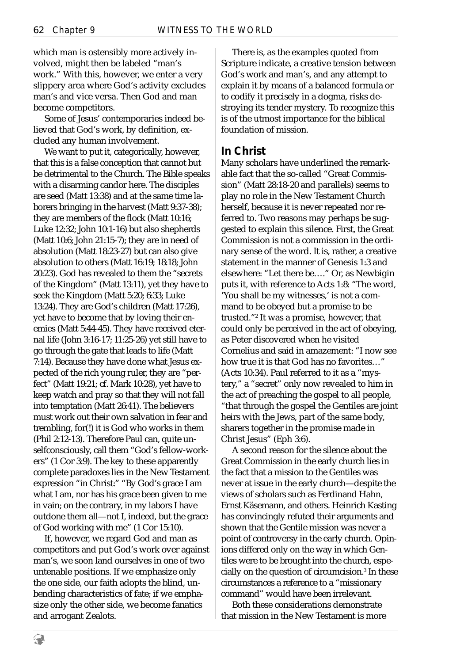which man is ostensibly more actively involved, might then be labeled "man's work." With this, however, we enter a very slippery area where God's activity excludes man's and vice versa. Then God and man become competitors.

Some of Jesus' contemporaries indeed believed that God's work, by definition, excluded any human involvement.

We want to put it, categorically, however, that this is a false conception that cannot but be detrimental to the Church. The Bible speaks with a disarming candor here. The disciples are seed (Matt 13:38) and at the same time laborers bringing in the harvest (Matt 9:37-38); they are members of the flock (Matt 10:16; Luke 12:32; John 10:1-16) but also shepherds (Matt 10:6; John 21:15-7); they are in need of absolution (Matt 18:23-27) but can also give absolution to others (Matt 16:19; 18:18; John 20:23). God has revealed to them the "secrets of the Kingdom" (Matt 13:11), yet they have to seek the Kingdom (Matt 5:20; 6:33; Luke 13:24). They are God's children (Matt 17:26), yet have to become that by loving their enemies (Matt 5:44-45). They have received eternal life (John 3:16-17; 11:25-26) yet still have to go through the gate that leads to life (Matt 7:14). Because they have done what Jesus expected of the rich young ruler, they are "perfect" (Matt 19:21; cf. Mark 10:28), yet have to keep watch and pray so that they will not fall into temptation (Matt 26:41). The believers must work out their own salvation in fear and trembling, for(!) it is God who works in them (Phil 2:12-13). Therefore Paul can, quite unselfconsciously, call them "God's fellow-workers" (1 Cor 3:9). The key to these apparently complete paradoxes lies in the New Testament expression "in Christ:" "By God's grace I am what I am, nor has his grace been given to me in vain; on the contrary, in my labors I have outdone them all—not I, indeed, but the grace of God working with me" (1 Cor 15:10).

If, however, we regard God and man as competitors and put God's work over against man's, we soon land ourselves in one of two untenable positions. If we emphasize only the one side, our faith adopts the blind, unbending characteristics of fate; if we emphasize only the other side, we become fanatics and arrogant Zealots.

There is, as the examples quoted from Scripture indicate, a creative tension between God's work and man's, and any attempt to explain it by means of a balanced formula or to codify it precisely in a dogma, risks destroying its tender mystery. To recognize this is of the utmost importance for the biblical foundation of mission.

#### **In Christ**

Many scholars have underlined the remarkable fact that the so-called "Great Commission" (Matt 28:18-20 and parallels) seems to play no role in the New Testament Church herself, because it is never repeated nor referred to. Two reasons may perhaps be suggested to explain this silence. First, the Great Commission is not a commission in the ordinary sense of the word. It is, rather, a creative statement in the manner of Genesis 1:3 and elsewhere: "Let there be…." Or, as Newbigin puts it, with reference to Acts 1:8: "The word, 'You shall be my witnesses,' is not a command to be obeyed but a promise to be trusted."2 It was a promise, however, that could only be perceived in the act of obeying, as Peter discovered when he visited Cornelius and said in amazement: "I now see how true it is that God has no favorites…" (Acts 10:34). Paul referred to it as a "mystery," a "secret" only now revealed to him in the act of preaching the gospel to all people, "that through the gospel the Gentiles are joint heirs with the Jews, part of the same body, sharers together in the promise made in Christ Jesus" (Eph 3:6).

A second reason for the silence about the Great Commission in the early church lies in the fact that a mission to the Gentiles was never at issue in the early church—despite the views of scholars such as Ferdinand Hahn, Ernst Käsemann, and others. Heinrich Kasting has convincingly refuted their arguments and shown that the Gentile mission was never a point of controversy in the early church. Opinions differed only on the way in which Gentiles were to be brought into the church, especially on the question of circumcision.3 In these circumstances a reference to a "missionary command" would have been irrelevant.

Both these considerations demonstrate that mission in the New Testament is more

9